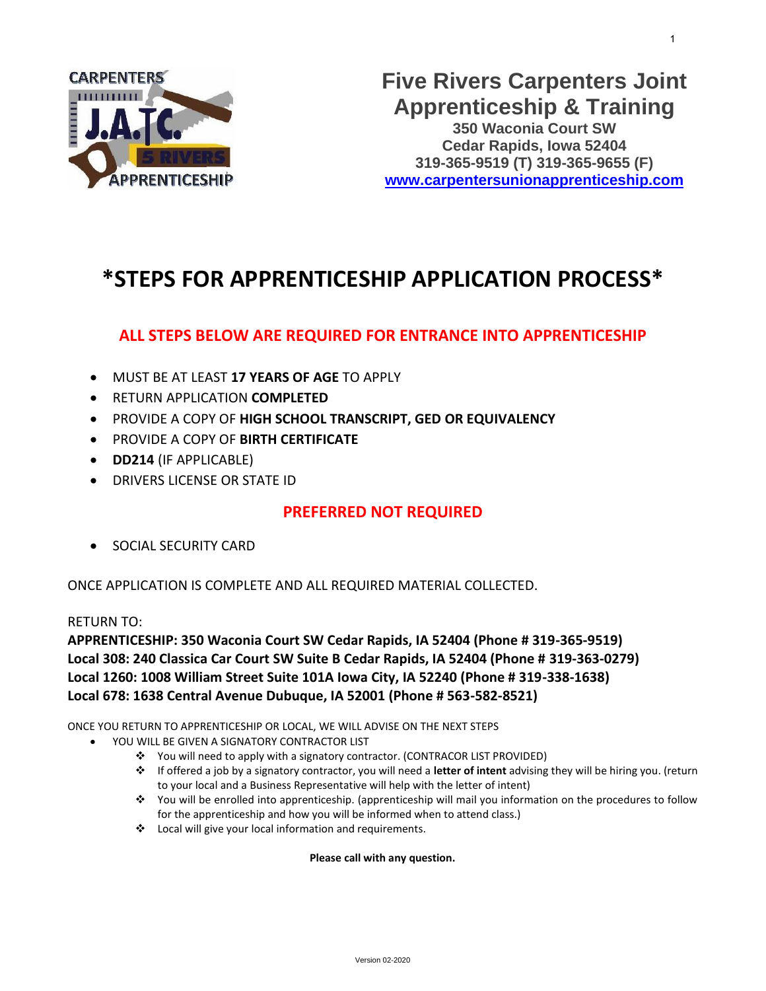

## **\*STEPS FOR APPRENTICESHIP APPLICATION PROCESS\***

### **ALL STEPS BELOW ARE REQUIRED FOR ENTRANCE INTO APPRENTICESHIP**

- MUST BE AT LEAST **17 YEARS OF AGE** TO APPLY
- RETURN APPLICATION **COMPLETED**
- PROVIDE A COPY OF **HIGH SCHOOL TRANSCRIPT, GED OR EQUIVALENCY**
- PROVIDE A COPY OF **BIRTH CERTIFICATE**
- **DD214** (IF APPLICABLE)
- DRIVERS LICENSE OR STATE ID

#### **PREFERRED NOT REQUIRED**

• SOCIAL SECURITY CARD

ONCE APPLICATION IS COMPLETE AND ALL REQUIRED MATERIAL COLLECTED.

RETURN TO:

**APPRENTICESHIP: 350 Waconia Court SW Cedar Rapids, IA 52404 (Phone # 319-365-9519) Local 308: 240 Classica Car Court SW Suite B Cedar Rapids, IA 52404 (Phone # 319-363-0279) Local 1260: 1008 William Street Suite 101A Iowa City, IA 52240 (Phone # 319-338-1638) Local 678: 1638 Central Avenue Dubuque, IA 52001 (Phone # 563-582-8521)**

ONCE YOU RETURN TO APPRENTICESHIP OR LOCAL, WE WILL ADVISE ON THE NEXT STEPS

- YOU WILL BE GIVEN A SIGNATORY CONTRACTOR LIST
	- ❖ You will need to apply with a signatory contractor. (CONTRACOR LIST PROVIDED)
	- ❖ If offered a job by a signatory contractor, you will need a **letter of intent** advising they will be hiring you. (return to your local and a Business Representative will help with the letter of intent)
	- ❖ You will be enrolled into apprenticeship. (apprenticeship will mail you information on the procedures to follow for the apprenticeship and how you will be informed when to attend class.)
	- ❖ Local will give your local information and requirements.

**Please call with any question.**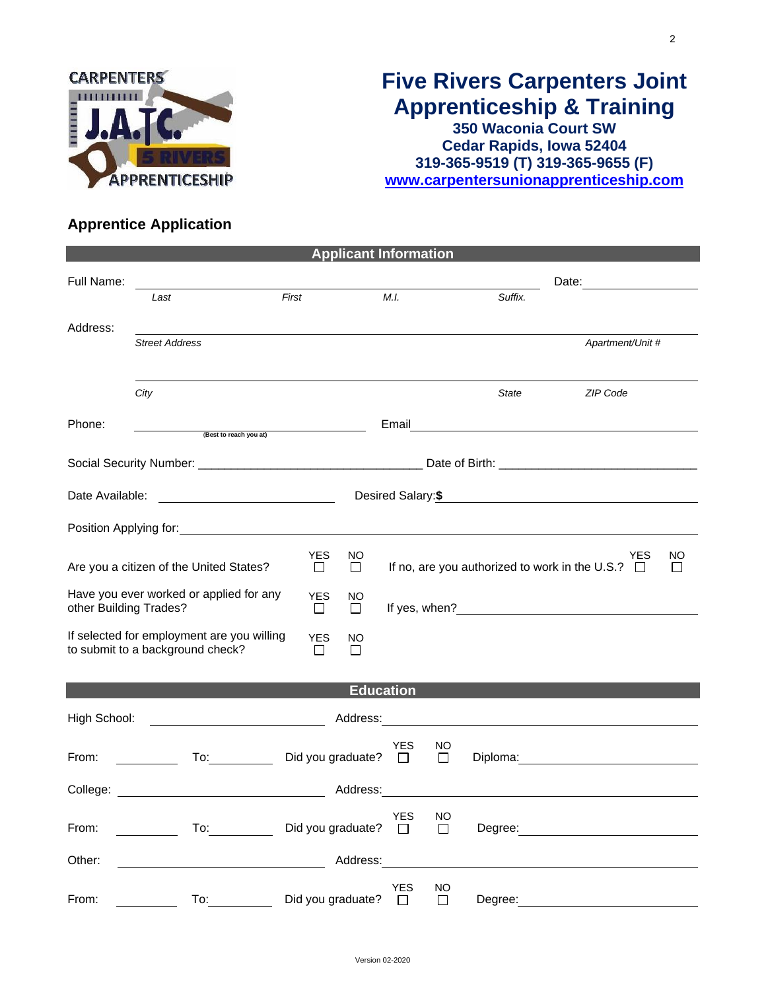

## **Five Rivers Carpenters Joint Apprenticeship & Training 350 Waconia Court SW Cedar Rapids, Iowa 52404**

**319-365-9519 (T) 319-365-9655 (F) [www.carpentersunionapprenticeship.com](http://www.carpentersunionapprenticeship.com/)**

### **Apprentice Application**

|                                                                                                                          |                                                                                                                                   |       | <b>Applicant Information</b>   |                  |                      |                     |                                                                                                                                                                                                                                      |                                             |    |  |
|--------------------------------------------------------------------------------------------------------------------------|-----------------------------------------------------------------------------------------------------------------------------------|-------|--------------------------------|------------------|----------------------|---------------------|--------------------------------------------------------------------------------------------------------------------------------------------------------------------------------------------------------------------------------------|---------------------------------------------|----|--|
| Full Name:                                                                                                               |                                                                                                                                   |       |                                |                  |                      |                     |                                                                                                                                                                                                                                      |                                             |    |  |
|                                                                                                                          | Last                                                                                                                              | First |                                |                  | M.I.                 |                     | Suffix.                                                                                                                                                                                                                              |                                             |    |  |
| Address:                                                                                                                 |                                                                                                                                   |       |                                |                  |                      |                     |                                                                                                                                                                                                                                      |                                             |    |  |
|                                                                                                                          | <b>Street Address</b>                                                                                                             |       |                                |                  |                      |                     |                                                                                                                                                                                                                                      | Apartment/Unit #                            |    |  |
|                                                                                                                          | City                                                                                                                              |       |                                |                  |                      |                     | State                                                                                                                                                                                                                                | ZIP Code                                    |    |  |
| Phone:                                                                                                                   | (Best to reach you at)                                                                                                            |       | <u> 1980 - John Barnett, f</u> |                  |                      |                     |                                                                                                                                                                                                                                      | Email <u>______________________________</u> |    |  |
|                                                                                                                          |                                                                                                                                   |       |                                |                  |                      |                     |                                                                                                                                                                                                                                      |                                             |    |  |
|                                                                                                                          |                                                                                                                                   |       |                                |                  |                      |                     |                                                                                                                                                                                                                                      |                                             |    |  |
|                                                                                                                          |                                                                                                                                   |       |                                |                  |                      |                     |                                                                                                                                                                                                                                      | Desired Salary: \$                          |    |  |
|                                                                                                                          |                                                                                                                                   |       |                                |                  |                      |                     |                                                                                                                                                                                                                                      |                                             |    |  |
|                                                                                                                          | Are you a citizen of the United States?                                                                                           |       | <b>YES</b><br>$\Box$           | NO<br>$\Box$     |                      |                     | If no, are you authorized to work in the U.S.? $\Box$                                                                                                                                                                                | <b>YES</b>                                  | NO |  |
| Have you ever worked or applied for any<br><b>YES</b><br>NO<br>other Building Trades?<br>$\Box$<br>$\Box$                |                                                                                                                                   |       |                                |                  |                      |                     |                                                                                                                                                                                                                                      |                                             |    |  |
| If selected for employment are you willing<br><b>YES</b><br>NO.<br>to submit to a background check?<br>$\Box$<br>$\perp$ |                                                                                                                                   |       |                                |                  |                      |                     |                                                                                                                                                                                                                                      |                                             |    |  |
|                                                                                                                          |                                                                                                                                   |       |                                | <b>Education</b> |                      |                     |                                                                                                                                                                                                                                      |                                             |    |  |
| High School:                                                                                                             |                                                                                                                                   |       |                                |                  |                      |                     | Address: <u>Contract of the contract of the contract of the contract of the contract of the contract of the contract of the contract of the contract of the contract of the contract of the contract of the contract of the cont</u> |                                             |    |  |
| From:                                                                                                                    | $\mathsf{To:}\qquad\qquad\qquad\qquad\qquad$<br>$\frac{1}{\sqrt{1-\frac{1}{2}}}\left( \frac{1}{\sqrt{1-\frac{1}{2}}}\right) ^{2}$ |       | Did you graduate? $\square$    |                  | YES                  | NO<br>$\Box$        |                                                                                                                                                                                                                                      |                                             |    |  |
| College:                                                                                                                 | <u> 1989 - Johann Barbara, martxa al</u>                                                                                          |       |                                | Address:         |                      |                     |                                                                                                                                                                                                                                      |                                             |    |  |
| From:                                                                                                                    | To:                                                                                                                               |       | Did you graduate?              |                  | <b>YES</b><br>$\Box$ | <b>NO</b><br>$\Box$ | Degree:                                                                                                                                                                                                                              |                                             |    |  |
| Other:                                                                                                                   |                                                                                                                                   |       |                                | Address:         |                      |                     |                                                                                                                                                                                                                                      |                                             |    |  |
| From:                                                                                                                    | To:                                                                                                                               |       | Did you graduate?              |                  | <b>YES</b><br>$\Box$ | <b>NO</b><br>П      | Degree:                                                                                                                                                                                                                              |                                             |    |  |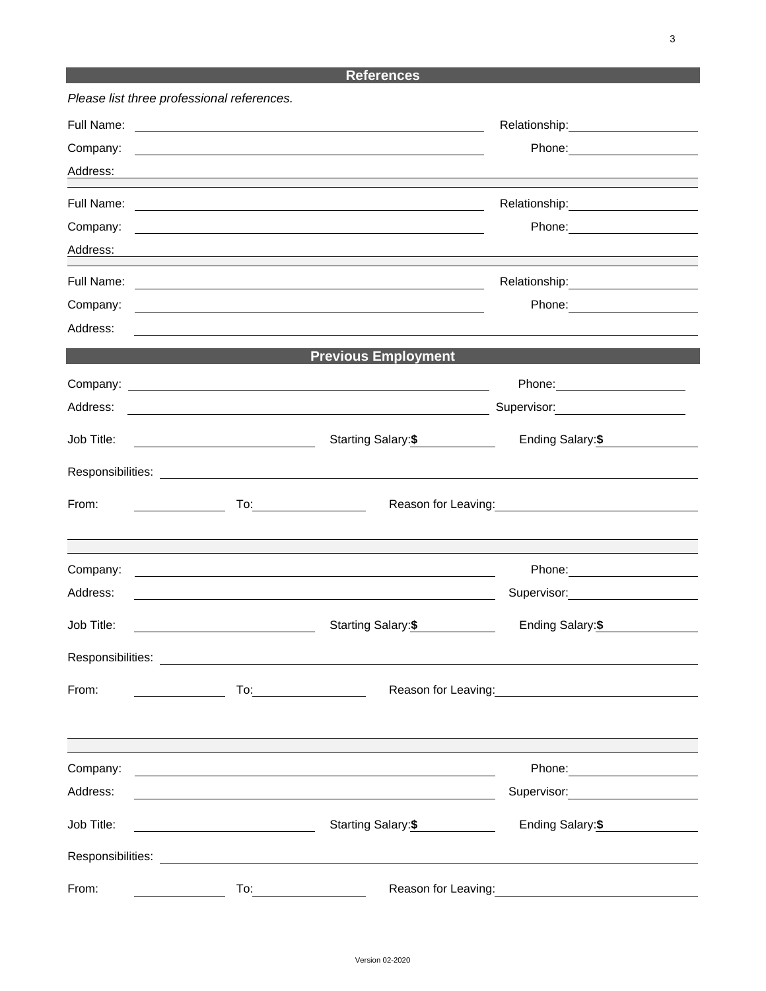### **References**

| Please list three professional references. |                                         |                                                                                                                                                                                                                                |                                                                                                                                                                                                                                        |  |
|--------------------------------------------|-----------------------------------------|--------------------------------------------------------------------------------------------------------------------------------------------------------------------------------------------------------------------------------|----------------------------------------------------------------------------------------------------------------------------------------------------------------------------------------------------------------------------------------|--|
| Full Name:                                 |                                         | <u> 1989 - Johann Barn, mars ann an t-Amhain Aonaich an t-Aonaich an t-Aonaich ann an t-Aonaich ann an t-Aonaich</u>                                                                                                           |                                                                                                                                                                                                                                        |  |
| Company:                                   |                                         | <u> 1980 - Andrea Barbara, amerikana amerikana amerikana amerikana amerikana amerikana amerikana amerikana amerik</u>                                                                                                          |                                                                                                                                                                                                                                        |  |
| Address:                                   |                                         | the control of the control of the control of the control of the control of the control of the control of the control of the control of the control of the control of the control of the control of the control of the control  |                                                                                                                                                                                                                                        |  |
| Full Name:                                 |                                         | <u> 1989 - Andrea Barbara, poeta esperanto-poeta esperanto-poeta esperanto-poeta esperanto-poeta esperanto-poeta</u>                                                                                                           |                                                                                                                                                                                                                                        |  |
| Company:                                   |                                         | <u> 1989 - Johann Barn, fransk politik (f. 1989)</u>                                                                                                                                                                           |                                                                                                                                                                                                                                        |  |
| Address:                                   |                                         |                                                                                                                                                                                                                                |                                                                                                                                                                                                                                        |  |
| Full Name:                                 |                                         |                                                                                                                                                                                                                                |                                                                                                                                                                                                                                        |  |
| Company:                                   |                                         | and the control of the control of the control of the control of the control of the control of the control of the                                                                                                               |                                                                                                                                                                                                                                        |  |
| Address:                                   |                                         | and the control of the control of the control of the control of the control of the control of the control of the                                                                                                               |                                                                                                                                                                                                                                        |  |
|                                            |                                         | <b>Previous Employment</b>                                                                                                                                                                                                     |                                                                                                                                                                                                                                        |  |
|                                            |                                         |                                                                                                                                                                                                                                |                                                                                                                                                                                                                                        |  |
| Address:                                   |                                         | <u> 1980 - Johann Stoff, deutscher Stoffen und der Stoffen und der Stoffen und der Stoffen und der Stoffen und de</u>                                                                                                          | Supervisor: 2000                                                                                                                                                                                                                       |  |
| Job Title:                                 | <u> 1989 - Johann Barbara, martin a</u> | Starting Salary:\$                                                                                                                                                                                                             | Ending Salary:\$                                                                                                                                                                                                                       |  |
|                                            |                                         | Responsibilities: Les and the set of the set of the set of the set of the set of the set of the set of the set of the set of the set of the set of the set of the set of the set of the set of the set of the set of the set o |                                                                                                                                                                                                                                        |  |
| From:                                      |                                         | To: ________________________                                                                                                                                                                                                   | Reason for Leaving:<br><u>Next and the manufacture of the set of the set of the set of the set of the set of the set of the set of the set of the set of the set of the set of the set of the set of the set of the set of the set</u> |  |
|                                            |                                         |                                                                                                                                                                                                                                |                                                                                                                                                                                                                                        |  |
|                                            |                                         |                                                                                                                                                                                                                                |                                                                                                                                                                                                                                        |  |
| Company:<br>Address:                       |                                         | <u> 1989 - Johann Stoff, deutscher Stoffen und der Stoffen und der Stoffen und der Stoffen und der Stoffen und der</u>                                                                                                         |                                                                                                                                                                                                                                        |  |
|                                            |                                         | <u> 1989 - Johann Stoff, amerikansk politiker (d. 1989)</u>                                                                                                                                                                    |                                                                                                                                                                                                                                        |  |
| Job Title:                                 |                                         | Starting Salary:\$                                                                                                                                                                                                             | Ending Salary:\$                                                                                                                                                                                                                       |  |
| Responsibilities:                          |                                         |                                                                                                                                                                                                                                |                                                                                                                                                                                                                                        |  |
| From:                                      |                                         | $To: \begin{tabular}{@{}c@{}} \quad \quad & \quad \quad & \quad \quad \\ \hline \end{tabular}$                                                                                                                                 | Reason for Leaving: 1997                                                                                                                                                                                                               |  |
|                                            |                                         |                                                                                                                                                                                                                                |                                                                                                                                                                                                                                        |  |
|                                            |                                         |                                                                                                                                                                                                                                |                                                                                                                                                                                                                                        |  |
| Company:                                   |                                         | <u> 1990 - Jan James James James James James James James James James James James James James James James James J</u>                                                                                                           |                                                                                                                                                                                                                                        |  |
| Address:                                   |                                         | <u> 1980 - Johann Barn, mars ann an t-Amhain Aonaichte ann an t-Aonaichte ann an t-Aonaichte ann an t-Aonaichte a</u>                                                                                                          | Supervisor: _____________________                                                                                                                                                                                                      |  |
| Job Title:                                 | <u> 1990 - Johann Barbara, martin a</u> | Starting Salary: \$                                                                                                                                                                                                            | Ending Salary:\$                                                                                                                                                                                                                       |  |
|                                            |                                         |                                                                                                                                                                                                                                |                                                                                                                                                                                                                                        |  |
| From:                                      |                                         |                                                                                                                                                                                                                                |                                                                                                                                                                                                                                        |  |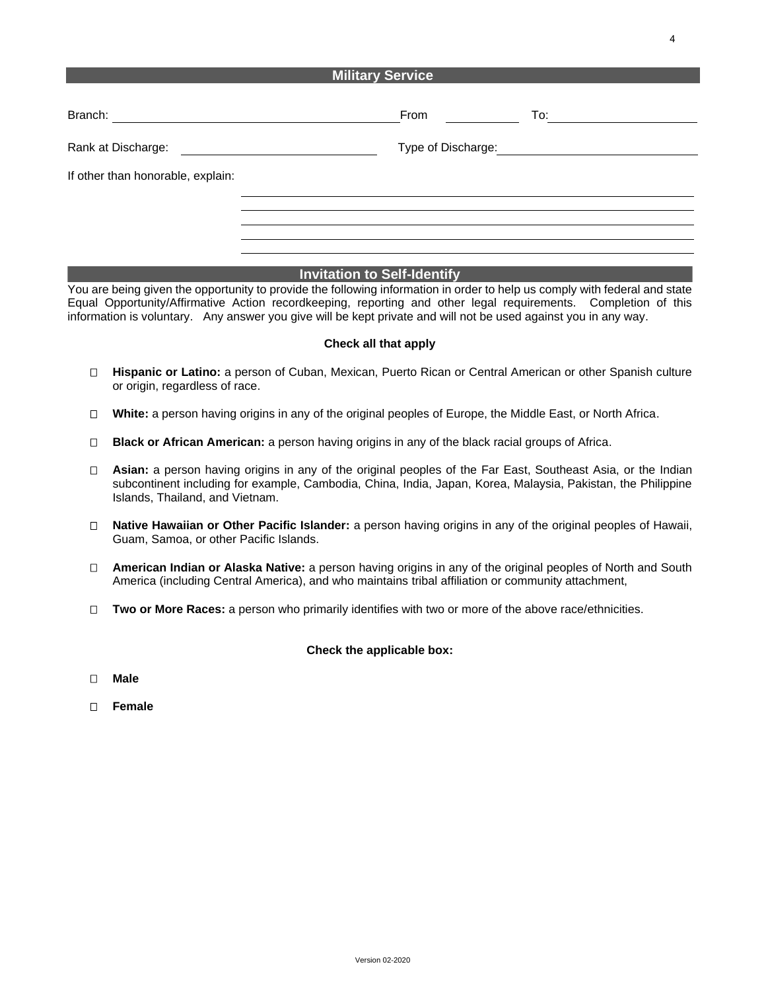#### **Military Service**

| Branch:<br><u> 1980 - Jan Samuel Barbara, martin a</u> | From                                                                                                                  | To: To                  |
|--------------------------------------------------------|-----------------------------------------------------------------------------------------------------------------------|-------------------------|
| Rank at Discharge:                                     | <u> 1980 - Jan Samuel Barbara, político e a filosofono de la filosofono de la filosofono de la filosofono de la f</u> | Type of Discharge: 1999 |
| If other than honorable, explain:                      |                                                                                                                       |                         |
|                                                        |                                                                                                                       |                         |
|                                                        |                                                                                                                       |                         |

#### **Invitation to Self-Identify**

You are being given the opportunity to provide the following information in order to help us comply with federal and state Equal Opportunity/Affirmative Action recordkeeping, reporting and other legal requirements. Completion of this information is voluntary. Any answer you give will be kept private and will not be used against you in any way.

#### **Check all that apply**

- **Hispanic or Latino:** a person of Cuban, Mexican, Puerto Rican or Central American or other Spanish culture or origin, regardless of race.
- **White:** a person having origins in any of the original peoples of Europe, the Middle East, or North Africa.
- **Black or African American:** a person having origins in any of the black racial groups of Africa.
- **Asian:** a person having origins in any of the original peoples of the Far East, Southeast Asia, or the Indian subcontinent including for example, Cambodia, China, India, Japan, Korea, Malaysia, Pakistan, the Philippine Islands, Thailand, and Vietnam.
- **Native Hawaiian or Other Pacific Islander:** a person having origins in any of the original peoples of Hawaii, Guam, Samoa, or other Pacific Islands.
- **American Indian or Alaska Native:** a person having origins in any of the original peoples of North and South America (including Central America), and who maintains tribal affiliation or community attachment,
- **Two or More Races:** a person who primarily identifies with two or more of the above race/ethnicities.

#### **Check the applicable box:**

- **Male**
- **Female**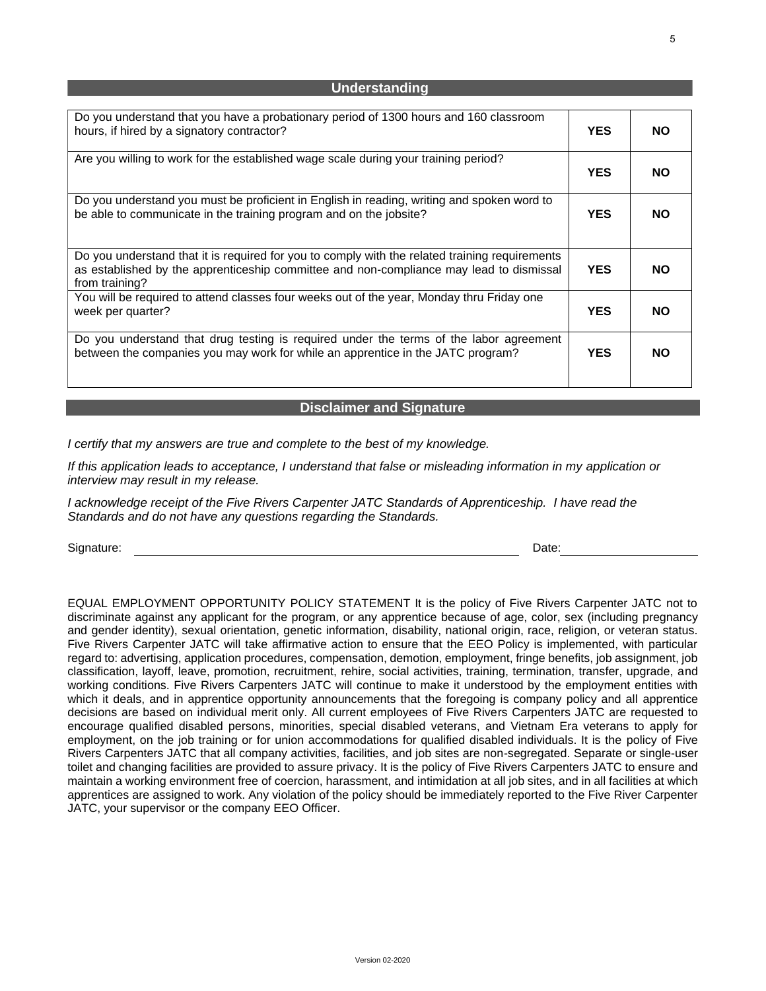| Do you understand that you have a probationary period of 1300 hours and 160 classroom<br>hours, if hired by a signatory contractor?                                                                         | <b>YES</b> | <b>NO</b> |
|-------------------------------------------------------------------------------------------------------------------------------------------------------------------------------------------------------------|------------|-----------|
| Are you willing to work for the established wage scale during your training period?                                                                                                                         | <b>YES</b> | <b>NO</b> |
| Do you understand you must be proficient in English in reading, writing and spoken word to<br>be able to communicate in the training program and on the jobsite?                                            | <b>YES</b> | <b>NO</b> |
| Do you understand that it is required for you to comply with the related training requirements<br>as established by the apprenticeship committee and non-compliance may lead to dismissal<br>from training? | <b>YES</b> | <b>NO</b> |
| You will be required to attend classes four weeks out of the year, Monday thru Friday one<br>week per quarter?                                                                                              | <b>YES</b> | <b>NO</b> |
| Do you understand that drug testing is required under the terms of the labor agreement<br>between the companies you may work for while an apprentice in the JATC program?                                   | <b>YES</b> | <b>NO</b> |

**Understanding**

#### **Disclaimer and Signature**

*I certify that my answers are true and complete to the best of my knowledge.* 

*If this application leads to acceptance, I understand that false or misleading information in my application or interview may result in my release.*

*I* acknowledge receipt of the Five Rivers Carpenter JATC Standards of Apprenticeship. I have read the *Standards and do not have any questions regarding the Standards.*

Signature: Date: Date: Date: Date: Date: Date: Date: Date: Date: Date: Date: Date: Date: Date: Date: Date: Date: Date: Date: Date: Date: Date: Date: Date: Date: Date: Date: Date: Date: Date: Date: Date: Date: Date: Date: D

EQUAL EMPLOYMENT OPPORTUNITY POLICY STATEMENT It is the policy of Five Rivers Carpenter JATC not to discriminate against any applicant for the program, or any apprentice because of age, color, sex (including pregnancy and gender identity), sexual orientation, genetic information, disability, national origin, race, religion, or veteran status. Five Rivers Carpenter JATC will take affirmative action to ensure that the EEO Policy is implemented, with particular regard to: advertising, application procedures, compensation, demotion, employment, fringe benefits, job assignment, job classification, layoff, leave, promotion, recruitment, rehire, social activities, training, termination, transfer, upgrade, and working conditions. Five Rivers Carpenters JATC will continue to make it understood by the employment entities with which it deals, and in apprentice opportunity announcements that the foregoing is company policy and all apprentice decisions are based on individual merit only. All current employees of Five Rivers Carpenters JATC are requested to encourage qualified disabled persons, minorities, special disabled veterans, and Vietnam Era veterans to apply for employment, on the job training or for union accommodations for qualified disabled individuals. It is the policy of Five Rivers Carpenters JATC that all company activities, facilities, and job sites are non-segregated. Separate or single-user toilet and changing facilities are provided to assure privacy. It is the policy of Five Rivers Carpenters JATC to ensure and maintain a working environment free of coercion, harassment, and intimidation at all job sites, and in all facilities at which apprentices are assigned to work. Any violation of the policy should be immediately reported to the Five River Carpenter JATC, your supervisor or the company EEO Officer.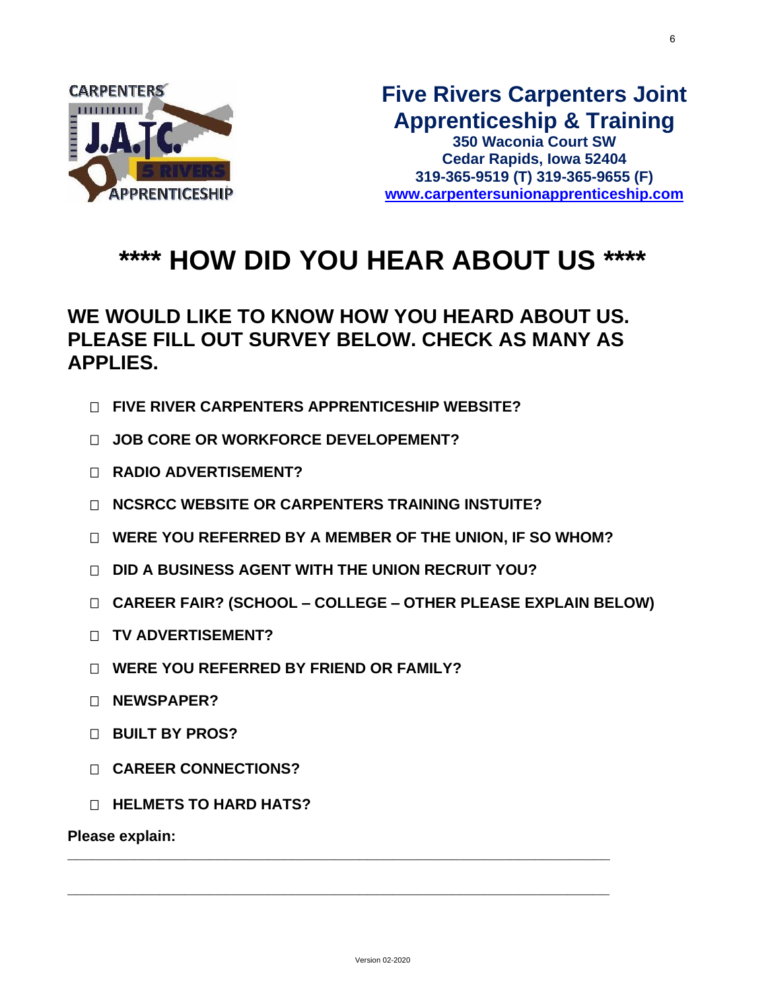

# **\*\*\*\* HOW DID YOU HEAR ABOUT US \*\*\*\***

## **WE WOULD LIKE TO KNOW HOW YOU HEARD ABOUT US. PLEASE FILL OUT SURVEY BELOW. CHECK AS MANY AS APPLIES.**

- **FIVE RIVER CARPENTERS APPRENTICESHIP WEBSITE?**
- **JOB CORE OR WORKFORCE DEVELOPEMENT?**
- **RADIO ADVERTISEMENT?**
- **NCSRCC WEBSITE OR CARPENTERS TRAINING INSTUITE?**
- **WERE YOU REFERRED BY A MEMBER OF THE UNION, IF SO WHOM?**
- **DID A BUSINESS AGENT WITH THE UNION RECRUIT YOU?**
- **CAREER FAIR? (SCHOOL – COLLEGE – OTHER PLEASE EXPLAIN BELOW)**
- **TV ADVERTISEMENT?**
- **WERE YOU REFERRED BY FRIEND OR FAMILY?**
- **NEWSPAPER?**
- **BUILT BY PROS?**
- **CAREER CONNECTIONS?**
- **HELMETS TO HARD HATS?**

**Please explain:** 

**\_\_\_\_\_\_\_\_\_\_\_\_\_\_\_\_\_\_\_\_\_\_\_\_\_\_\_\_\_\_\_\_\_\_\_\_\_\_\_\_\_\_\_\_\_\_\_\_\_\_\_\_\_\_\_\_\_\_\_\_\_\_\_\_\_**

**\_\_\_\_\_\_\_\_\_\_\_\_\_\_\_\_\_\_\_\_\_\_\_\_\_\_\_\_\_\_\_\_\_\_\_\_\_\_\_\_\_\_\_\_\_\_\_\_\_\_\_\_\_\_\_\_\_\_\_\_\_\_\_\_\_**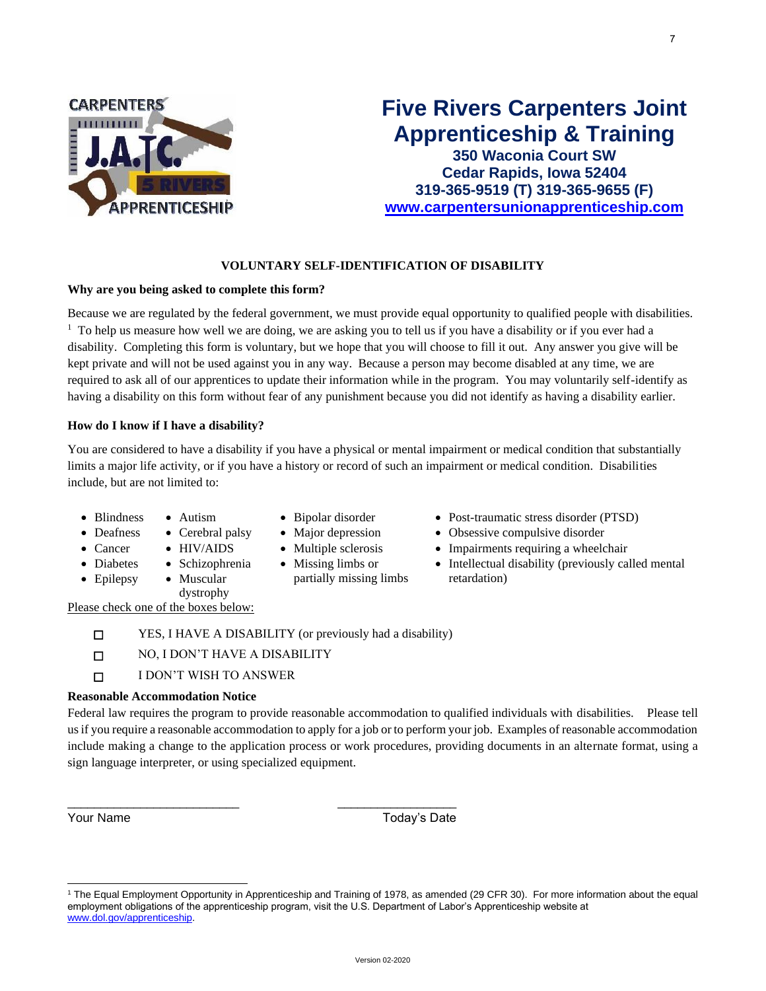

## **Five Rivers Carpenters Joint Apprenticeship & Training**

**350 Waconia Court SW Cedar Rapids, Iowa 52404 319-365-9519 (T) 319-365-9655 (F) [www.carpentersunionapprenticeship.com](http://www.carpentersunionapprenticeship.com/)**

#### **VOLUNTARY SELF-IDENTIFICATION OF DISABILITY**

#### **Why are you being asked to complete this form?**

Because we are regulated by the federal government, we must provide equal opportunity to qualified people with disabilities. <sup>1</sup> To help us measure how well we are doing, we are asking you to tell us if you have a disability or if you ever had a disability. Completing this form is voluntary, but we hope that you will choose to fill it out. Any answer you give will be kept private and will not be used against you in any way. Because a person may become disabled at any time, we are required to ask all of our apprentices to update their information while in the program. You may voluntarily self-identify as having a disability on this form without fear of any punishment because you did not identify as having a disability earlier.

#### **How do I know if I have a disability?**

You are considered to have a disability if you have a physical or mental impairment or medical condition that substantially limits a major life activity, or if you have a history or record of such an impairment or medical condition. Disabilities include, but are not limited to:

- Blindness Autism Bipolar disorder Post-traumatic stress disorder (PTSD)
	-
- Deafness Cerebral palsy Major depression Obsessive compulsive disorder
	-
	- Missing limbs or
- 
- 
- Cancer HIV/AIDS Multiple sclerosis Impairments requiring a wheelchair
	- Intellectual disability (previously called mental retardation)
- Diabetes • Epilepsy
- Schizophrenia • Muscular
	- partially missing limbs
- Please check one of the boxes below:
	- ☐ YES, I HAVE A DISABILITY (or previously had a disability)

\_\_\_\_\_\_\_\_\_\_\_\_\_\_\_\_\_\_\_\_\_\_\_\_\_\_ \_\_\_\_\_\_\_\_\_\_\_\_\_\_\_\_\_\_

☐ NO, I DON'T HAVE A DISABILITY

dystrophy

☐ I DON'T WISH TO ANSWER

#### **Reasonable Accommodation Notice**

Federal law requires the program to provide reasonable accommodation to qualified individuals with disabilities. Please tell us if you require a reasonable accommodation to apply for a job or to perform your job. Examples of reasonable accommodation include making a change to the application process or work procedures, providing documents in an alternate format, using a sign language interpreter, or using specialized equipment.

Your Name Today's Date

<sup>1</sup> The Equal Employment Opportunity in Apprenticeship and Training of 1978, as amended (29 CFR 30). For more information about the equal employment obligations of the apprenticeship program, visit the U.S. Department of Labor's Apprenticeship website at [www.dol.gov/apprenticeship.](http://www.dol.gov/ofccp)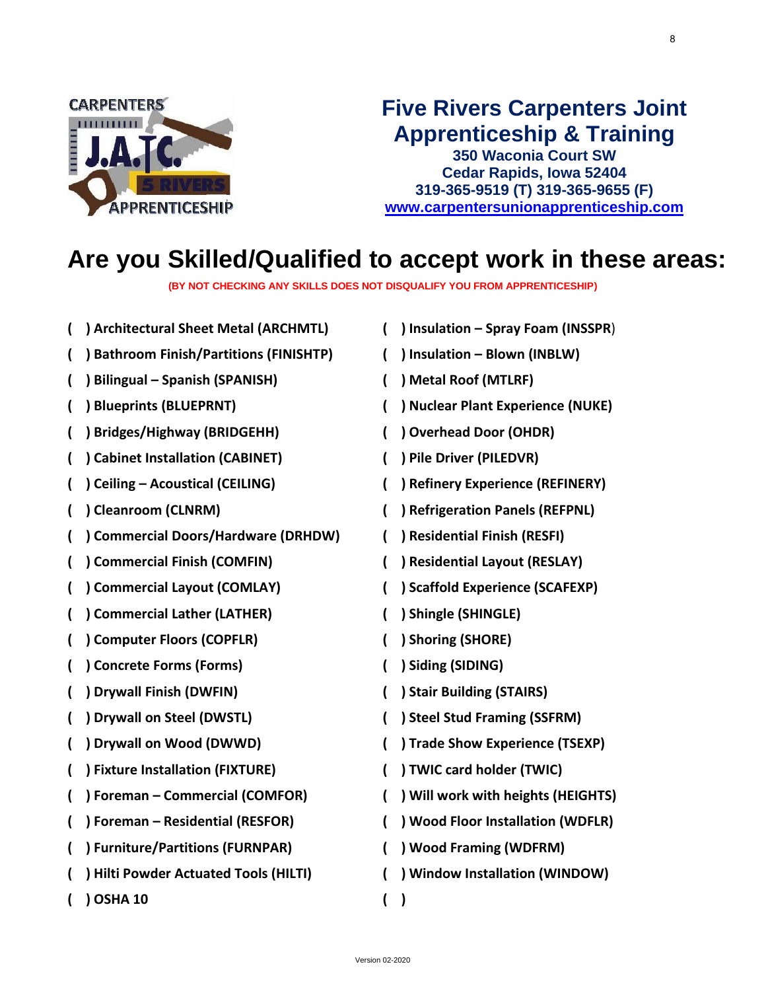

## **Five Rivers Carpenters Joint Apprenticeship & Training**

**350 Waconia Court SW Cedar Rapids, Iowa 52404 319-365-9519 (T) 319-365-9655 (F) [www.carpentersunionapprenticeship.com](http://www.carpentersunionapprenticeship.com/)**

## **Are you Skilled/Qualified to accept work in these areas:**

**(BY NOT CHECKING ANY SKILLS DOES NOT DISQUALIFY YOU FROM APPRENTICESHIP)**

- **( ) Bathroom Finish/Partitions (FINISHTP) ( ) Insulation – Blown (INBLW) ( ) Bilingual – Spanish (SPANISH) ( ) Metal Roof (MTLRF)**
- 
- **( ) Bridges/Highway (BRIDGEHH) ( ) Overhead Door (OHDR)**
- **( ) Cabinet Installation (CABINET) ( ) Pile Driver (PILEDVR)**
- 
- 
- **( ) Commercial Doors/Hardware (DRHDW) ( ) Residential Finish (RESFI)**
- **( ) Commercial Finish (COMFIN) ( ) Residential Layout (RESLAY)**
- **( ) Commercial Layout (COMLAY) ( ) Scaffold Experience (SCAFEXP)**
- **( ) Commercial Lather (LATHER) ( ) Shingle (SHINGLE)**
- **( ) Computer Floors (COPFLR) ( ) Shoring (SHORE)**
- **( ) Concrete Forms (Forms) ( ) Siding (SIDING)**
- **( ) Drywall Finish (DWFIN) ( ) Stair Building (STAIRS)**
- 
- 
- **( ) Fixture Installation (FIXTURE) ( ) TWIC card holder (TWIC)**
- **( ) Foreman – Commercial (COMFOR) ( ) Will work with heights (HEIGHTS)**
- 
- **( ) Furniture/Partitions (FURNPAR) ( ) Wood Framing (WDFRM)**
- **( ) Hilti Powder Actuated Tools (HILTI) ( ) Window Installation (WINDOW)**
- **( ) OSHA 10 ( )**
- **( ) Architectural Sheet Metal (ARCHMTL) ( ) Insulation – Spray Foam (INSSPR**)
	-
	-
	- **( ) Blueprints (BLUEPRNT) ( ) Nuclear Plant Experience (NUKE)**
		-
		-
- **( ) Ceiling – Acoustical (CEILING) ( ) Refinery Experience (REFINERY)**
- **( ) Cleanroom (CLNRM) ( ) Refrigeration Panels (REFPNL)**
	-
	-
	-
	-
	-
	-
	-
- **( ) Drywall on Steel (DWSTL) ( ) Steel Stud Framing (SSFRM)**
- **( ) Drywall on Wood (DWWD) ( ) Trade Show Experience (TSEXP)**
	-
	-
- **( ) Foreman – Residential (RESFOR) ( ) Wood Floor Installation (WDFLR)**
	-
	- -

8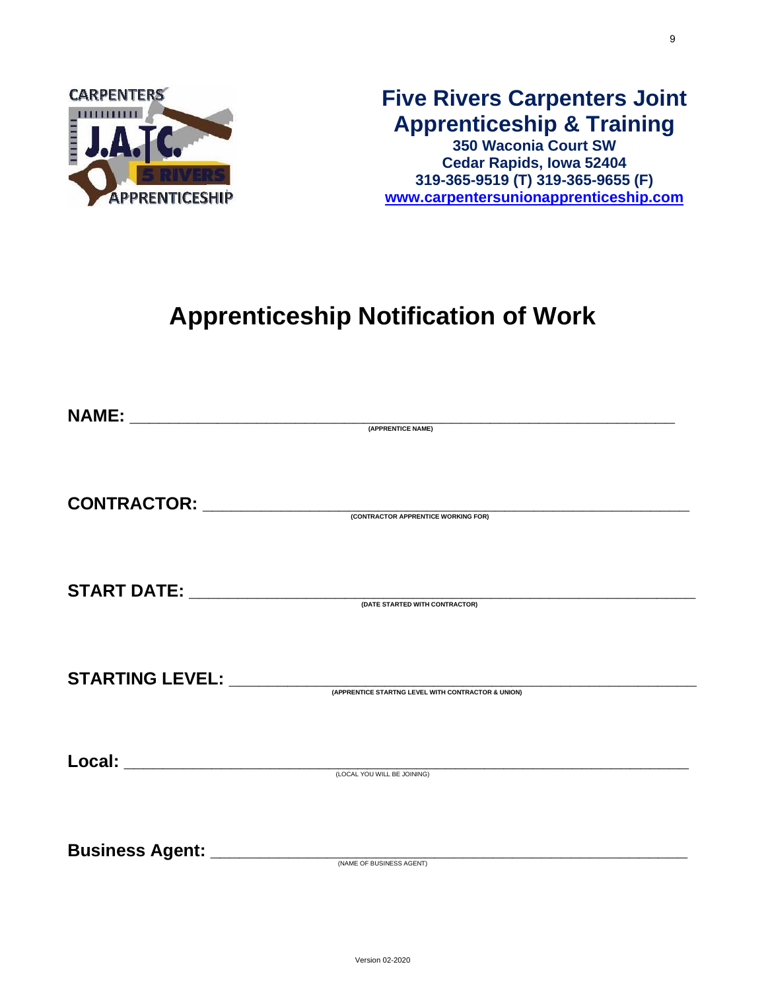

## **Five Rivers Carpenters Joint Apprenticeship & Training**

**350 Waconia Court SW Cedar Rapids, Iowa 52404 319-365-9519 (T) 319-365-9655 (F) [www.carpentersunionapprenticeship.com](http://www.carpentersunionapprenticeship.com/)**

# **Apprenticeship Notification of Work**

|                                                                                                                                                                                                                                                                                                                                                                                               | (APPRENTICE NAME)                                  |
|-----------------------------------------------------------------------------------------------------------------------------------------------------------------------------------------------------------------------------------------------------------------------------------------------------------------------------------------------------------------------------------------------|----------------------------------------------------|
|                                                                                                                                                                                                                                                                                                                                                                                               |                                                    |
|                                                                                                                                                                                                                                                                                                                                                                                               |                                                    |
|                                                                                                                                                                                                                                                                                                                                                                                               |                                                    |
| $\textbf{CONTRACTOR:}\begin{picture}(20,50) \label{fig:ex3} \begin{picture}(20,50) \label{fig:ex3} \put(0,0){\vector(0,1){100}} \put(0,0){\vector(0,1){100}} \put(0,0){\vector(0,1){100}} \put(0,0){\vector(0,1){100}} \put(0,0){\vector(0,1){100}} \put(0,0){\vector(0,1){100}} \put(0,0){\vector(0,1){100}} \put(0,0){\vector(0,1){100}} \put(0,0){\vector(0,1){100}} \put(0,0){\vector(0,$ |                                                    |
|                                                                                                                                                                                                                                                                                                                                                                                               |                                                    |
|                                                                                                                                                                                                                                                                                                                                                                                               |                                                    |
|                                                                                                                                                                                                                                                                                                                                                                                               |                                                    |
| $\textbf{START DATE:}\begin{picture}(250,50) \put(0,0){\vector(0,1){100}} \put(15,0){\vector(0,1){100}} \put(15,0){\vector(0,1){100}} \put(15,0){\vector(0,1){100}} \put(15,0){\vector(0,1){100}} \put(15,0){\vector(0,1){100}} \put(15,0){\vector(0,1){100}} \put(15,0){\vector(0,1){100}} \put(15,0){\vector(0,1){100}} \put(15,0){\vector(0,1){100}} \put(15,0){\vector($                  |                                                    |
|                                                                                                                                                                                                                                                                                                                                                                                               |                                                    |
|                                                                                                                                                                                                                                                                                                                                                                                               |                                                    |
|                                                                                                                                                                                                                                                                                                                                                                                               |                                                    |
| <b>STARTING LEVEL: ___________</b>                                                                                                                                                                                                                                                                                                                                                            | (APPRENTICE STARTNG LEVEL WITH CONTRACTOR & UNION) |
|                                                                                                                                                                                                                                                                                                                                                                                               |                                                    |
|                                                                                                                                                                                                                                                                                                                                                                                               |                                                    |
|                                                                                                                                                                                                                                                                                                                                                                                               |                                                    |
| Local: _______________________                                                                                                                                                                                                                                                                                                                                                                | (LOCAL YOU WILL BE JOINING)                        |
|                                                                                                                                                                                                                                                                                                                                                                                               |                                                    |
|                                                                                                                                                                                                                                                                                                                                                                                               |                                                    |
|                                                                                                                                                                                                                                                                                                                                                                                               |                                                    |
|                                                                                                                                                                                                                                                                                                                                                                                               |                                                    |
|                                                                                                                                                                                                                                                                                                                                                                                               | (NAME OF BUSINESS AGENT)                           |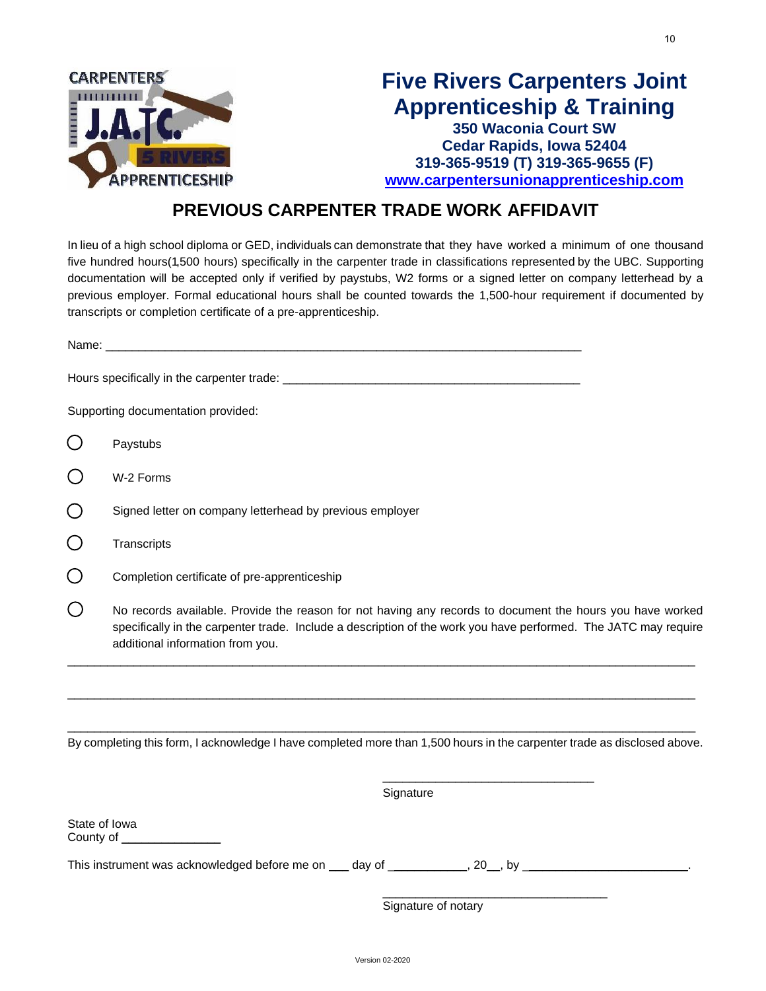

### **PREVIOUS CARPENTER TRADE WORK AFFIDAVIT**

In lieu of a high school diploma or GED, individuals can demonstrate that they have worked a minimum of one thousand five hundred hours(1,500 hours) specifically in the carpenter trade in classifications represented by the UBC. Supporting documentation will be accepted only if verified by paystubs, W2 forms or a signed letter on company letterhead by a previous employer. Formal educational hours shall be counted towards the 1,500-hour requirement if documented by transcripts or completion certificate of a pre-apprenticeship.

| Supporting documentation provided:                                                                                                                                                                                                                               |  |  |  |
|------------------------------------------------------------------------------------------------------------------------------------------------------------------------------------------------------------------------------------------------------------------|--|--|--|
| Paystubs                                                                                                                                                                                                                                                         |  |  |  |
| W-2 Forms                                                                                                                                                                                                                                                        |  |  |  |
| Signed letter on company letterhead by previous employer                                                                                                                                                                                                         |  |  |  |
| Transcripts                                                                                                                                                                                                                                                      |  |  |  |
| Completion certificate of pre-apprenticeship                                                                                                                                                                                                                     |  |  |  |
| No records available. Provide the reason for not having any records to document the hours you have worked<br>specifically in the carpenter trade. Include a description of the work you have performed. The JATC may require<br>additional information from you. |  |  |  |
| By completing this form, I acknowledge I have completed more than 1,500 hours in the carpenter trade as disclosed above.<br>Signature                                                                                                                            |  |  |  |
| State of Iowa<br>County of ___________________                                                                                                                                                                                                                   |  |  |  |
| This instrument was acknowledged before me on ___ day of ____________, 20__, by _______________________.                                                                                                                                                         |  |  |  |

Signature of notary

\_\_\_\_\_\_\_\_\_\_\_\_\_\_\_\_\_\_\_\_\_\_\_\_\_\_\_\_\_\_\_\_\_\_